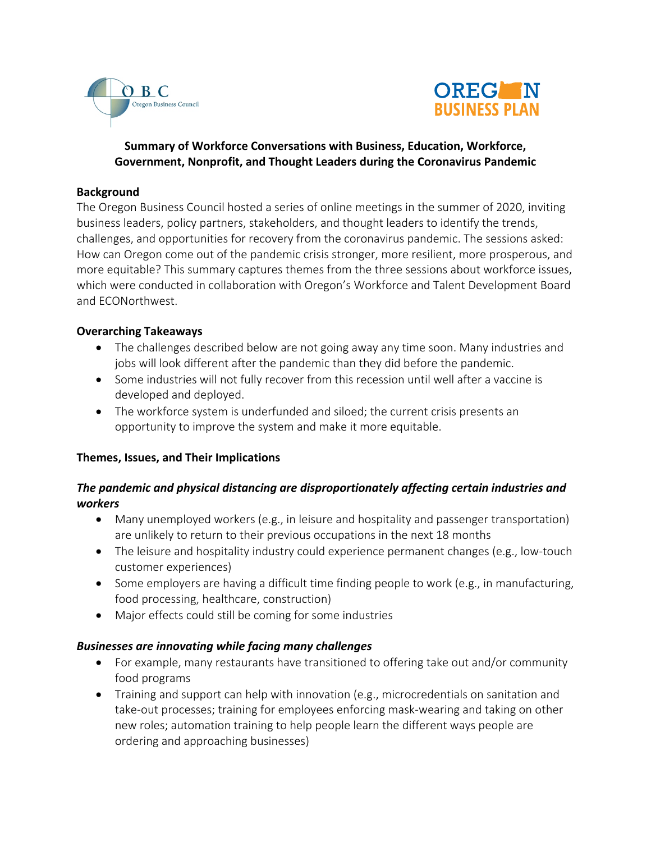



### **Summary of Workforce Conversations with Business, Education, Workforce, Government, Nonprofit, and Thought Leaders during the Coronavirus Pandemic**

#### **Background**

The Oregon Business Council hosted a series of online meetings in the summer of 2020, inviting business leaders, policy partners, stakeholders, and thought leaders to identify the trends, challenges, and opportunities for recovery from the coronavirus pandemic. The sessions asked: How can Oregon come out of the pandemic crisis stronger, more resilient, more prosperous, and more equitable? This summary captures themes from the three sessions about workforce issues, which were conducted in collaboration with Oregon's Workforce and Talent Development Board and ECONorthwest.

#### **Overarching Takeaways**

- The challenges described below are not going away any time soon. Many industries and jobs will look different after the pandemic than they did before the pandemic.
- Some industries will not fully recover from this recession until well after a vaccine is developed and deployed.
- The workforce system is underfunded and siloed; the current crisis presents an opportunity to improve the system and make it more equitable.

### **Themes, Issues, and Their Implications**

## *The pandemic and physical distancing are disproportionately affecting certain industries and workers*

- Many unemployed workers (e.g., in leisure and hospitality and passenger transportation) are unlikely to return to their previous occupations in the next 18 months
- The leisure and hospitality industry could experience permanent changes (e.g., low-touch customer experiences)
- Some employers are having a difficult time finding people to work (e.g., in manufacturing, food processing, healthcare, construction)
- Major effects could still be coming for some industries

### *Businesses are innovating while facing many challenges*

- For example, many restaurants have transitioned to offering take out and/or community food programs
- Training and support can help with innovation (e.g., microcredentials on sanitation and take-out processes; training for employees enforcing mask-wearing and taking on other new roles; automation training to help people learn the different ways people are ordering and approaching businesses)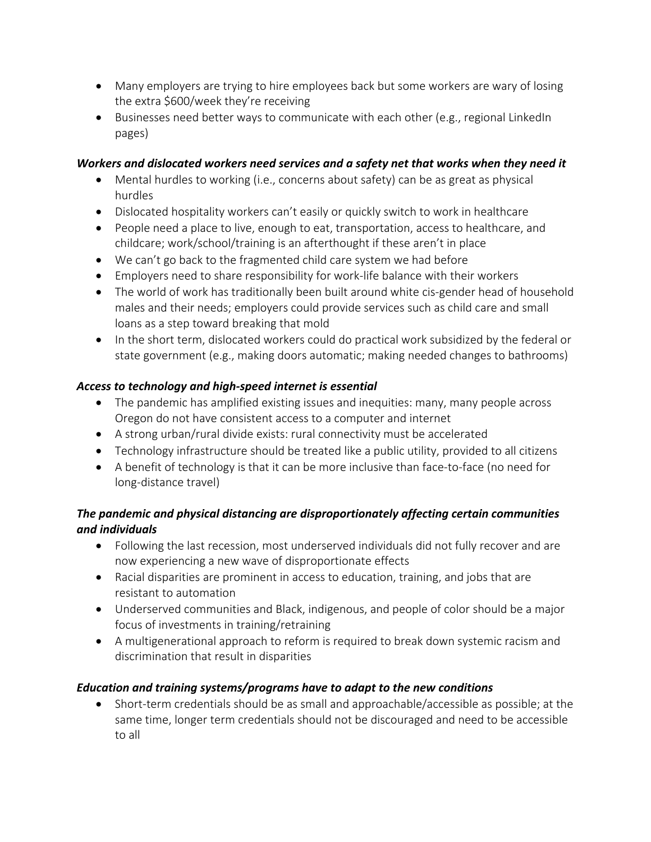- Many employers are trying to hire employees back but some workers are wary of losing the extra \$600/week they're receiving
- Businesses need better ways to communicate with each other (e.g., regional LinkedIn pages)

## *Workers and dislocated workers need services and a safety net that works when they need it*

- Mental hurdles to working (i.e., concerns about safety) can be as great as physical hurdles
- Dislocated hospitality workers can't easily or quickly switch to work in healthcare
- People need a place to live, enough to eat, transportation, access to healthcare, and childcare; work/school/training is an afterthought if these aren't in place
- We can't go back to the fragmented child care system we had before
- Employers need to share responsibility for work-life balance with their workers
- The world of work has traditionally been built around white cis-gender head of household males and their needs; employers could provide services such as child care and small loans as a step toward breaking that mold
- In the short term, dislocated workers could do practical work subsidized by the federal or state government (e.g., making doors automatic; making needed changes to bathrooms)

# *Access to technology and high-speed internet is essential*

- The pandemic has amplified existing issues and inequities: many, many people across Oregon do not have consistent access to a computer and internet
- A strong urban/rural divide exists: rural connectivity must be accelerated
- Technology infrastructure should be treated like a public utility, provided to all citizens
- A benefit of technology is that it can be more inclusive than face-to-face (no need for long-distance travel)

# *The pandemic and physical distancing are disproportionately affecting certain communities and individuals*

- Following the last recession, most underserved individuals did not fully recover and are now experiencing a new wave of disproportionate effects
- Racial disparities are prominent in access to education, training, and jobs that are resistant to automation
- Underserved communities and Black, indigenous, and people of color should be a major focus of investments in training/retraining
- A multigenerational approach to reform is required to break down systemic racism and discrimination that result in disparities

# *Education and training systems/programs have to adapt to the new conditions*

• Short-term credentials should be as small and approachable/accessible as possible; at the same time, longer term credentials should not be discouraged and need to be accessible to all